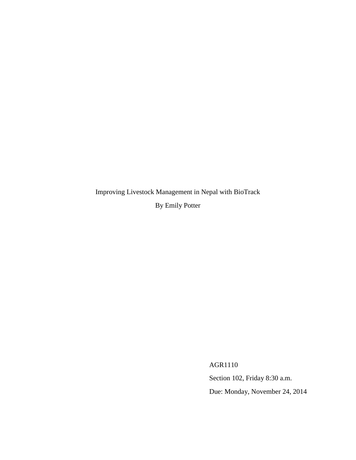Improving Livestock Management in Nepal with BioTrack

By Emily Potter

AGR1110

Section 102, Friday 8:30 a.m.

Due: Monday, November 24, 2014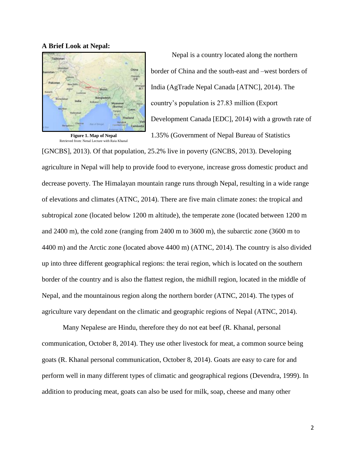#### **A Brief Look at Nepal:**



**Figure 1. Map of Nepal** Retrieved from: Nepal Lecture with Raja Khanal

Nepal is a country located along the northern border of China and the south-east and –west borders of India (AgTrade Nepal Canada [ATNC], 2014). The country's population is 27.83 million (Export Development Canada [EDC], 2014) with a growth rate of 1.35% (Government of Nepal Bureau of Statistics

[GNCBS], 2013). Of that population, 25.2% live in poverty (GNCBS, 2013). Developing agriculture in Nepal will help to provide food to everyone, increase gross domestic product and decrease poverty. The Himalayan mountain range runs through Nepal, resulting in a wide range of elevations and climates (ATNC, 2014). There are five main climate zones: the tropical and subtropical zone (located below 1200 m altitude), the temperate zone (located between 1200 m and 2400 m), the cold zone (ranging from 2400 m to 3600 m), the subarctic zone (3600 m to 4400 m) and the Arctic zone (located above 4400 m) (ATNC, 2014). The country is also divided up into three different geographical regions: the terai region, which is located on the southern border of the country and is also the flattest region, the midhill region, located in the middle of Nepal, and the mountainous region along the northern border (ATNC, 2014). The types of agriculture vary dependant on the climatic and geographic regions of Nepal (ATNC, 2014).

Many Nepalese are Hindu, therefore they do not eat beef (R. Khanal, personal communication, October 8, 2014). They use other livestock for meat, a common source being goats (R. Khanal personal communication, October 8, 2014). Goats are easy to care for and perform well in many different types of climatic and geographical regions (Devendra, 1999). In addition to producing meat, goats can also be used for milk, soap, cheese and many other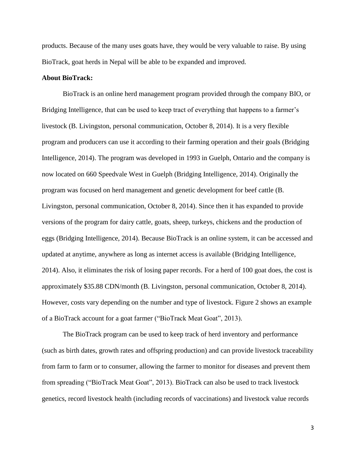products. Because of the many uses goats have, they would be very valuable to raise. By using BioTrack, goat herds in Nepal will be able to be expanded and improved.

## **About BioTrack:**

BioTrack is an online herd management program provided through the company BIO, or Bridging Intelligence, that can be used to keep tract of everything that happens to a farmer's livestock (B. Livingston, personal communication, October 8, 2014). It is a very flexible program and producers can use it according to their farming operation and their goals (Bridging Intelligence, 2014). The program was developed in 1993 in Guelph, Ontario and the company is now located on 660 Speedvale West in Guelph (Bridging Intelligence, 2014). Originally the program was focused on herd management and genetic development for beef cattle (B. Livingston, personal communication, October 8, 2014). Since then it has expanded to provide versions of the program for dairy cattle, goats, sheep, turkeys, chickens and the production of eggs (Bridging Intelligence, 2014). Because BioTrack is an online system, it can be accessed and updated at anytime, anywhere as long as internet access is available (Bridging Intelligence, 2014). Also, it eliminates the risk of losing paper records. For a herd of 100 goat does, the cost is approximately \$35.88 CDN/month (B. Livingston, personal communication, October 8, 2014). However, costs vary depending on the number and type of livestock. Figure 2 shows an example of a BioTrack account for a goat farmer ("BioTrack Meat Goat", 2013).

The BioTrack program can be used to keep track of herd inventory and performance (such as birth dates, growth rates and offspring production) and can provide livestock traceability from farm to farm or to consumer, allowing the farmer to monitor for diseases and prevent them from spreading ("BioTrack Meat Goat", 2013). BioTrack can also be used to track livestock genetics, record livestock health (including records of vaccinations) and livestock value records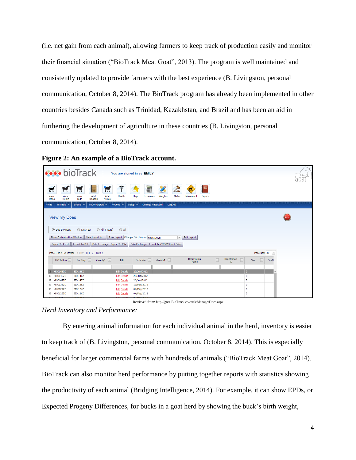(i.e. net gain from each animal), allowing farmers to keep track of production easily and monitor their financial situation ("BioTrack Meat Goat", 2013). The program is well maintained and consistently updated to provide farmers with the best experience (B. Livingston, personal communication, October 8, 2014). The BioTrack program has already been implemented in other countries besides Canada such as Trinidad, Kazakhstan, and Brazil and has been an aid in furthering the development of agriculture in these countries (B. Livingston, personal communication, October 8, 2014).

## **Figure 2: An example of a BioTrack account.**

|                |                                                                                                                                     | <b>***</b> bioTrack                |                                |                                            | You are signed in as EMILY             |                       |                          |                     |                                |                             |       |  |
|----------------|-------------------------------------------------------------------------------------------------------------------------------------|------------------------------------|--------------------------------|--------------------------------------------|----------------------------------------|-----------------------|--------------------------|---------------------|--------------------------------|-----------------------------|-------|--|
| $\blacksquare$ | $\blacksquare$                                                                                                                      | $\mathbf{H}$                       | $\mathbf{H}$<br>$\frac{1}{N}$  | <b>SPORT</b>                               |                                        |                       |                          | œ                   |                                |                             |       |  |
| View<br>Does   | View<br><b>Bucks</b>                                                                                                                | View<br>Kids                       | Add<br>Add<br>Season<br>Animal | Health                                     | Flag<br>Expenses                       | Weights               | <b>Sales</b><br>Movement | Reports             |                                |                             |       |  |
| Home           | Animals -                                                                                                                           | Events $\sim$                      | Import/Export                  | <b>Reports</b>                             | <b>Change Password</b><br><b>Setup</b> | LogOut                |                          |                     |                                |                             |       |  |
|                |                                                                                                                                     |                                    |                                |                                            |                                        |                       |                          |                     |                                |                             |       |  |
|                | <b>View my Does</b><br><b>HELP</b>                                                                                                  |                                    |                                |                                            |                                        |                       |                          |                     |                                |                             |       |  |
|                | ◯ Last Year<br>$\bigcirc$ All(3 years)<br>$O$ All<br>(a) Doe Inventory                                                              |                                    |                                |                                            |                                        |                       |                          |                     |                                |                             |       |  |
|                | $\overline{\vee}$<br>Show Customization Window<br>Save Layout As Save Layout Change Grid Layout: Registration<br><b>Edit Layout</b> |                                    |                                |                                            |                                        |                       |                          |                     |                                |                             |       |  |
|                | Data Exchange : Export To CSV<br><b>Export To Excel</b><br><b>Export To Pdf</b><br>Data Exchange : Export To CSV (Without Data)     |                                    |                                |                                            |                                        |                       |                          |                     |                                |                             |       |  |
|                | Page size: 50<br>Page 1 of 2 (55 items) < Prev [1] $2$ Next >                                                                       |                                    |                                |                                            |                                        |                       |                          |                     |                                |                             |       |  |
|                | BIO Tattoo                                                                                                                          | Ear Tag $[\n\mathbf{v}]$           | identity2 $\boxed{-}$          | Edit                                       | Birthdate -                            | identity1 $\boxed{-}$ | Registration<br>Name     | $\boxed{\mathbf v}$ | Registration $\boxed{-}$<br>ID | $\boxed{\mathbf{v}}$<br>Sex | SireN |  |
|                |                                                                                                                                     |                                    |                                |                                            |                                        |                       |                          |                     |                                |                             |       |  |
|                | D XBIO148ZC                                                                                                                         | <b>BIO 148Z</b>                    |                                | <b>Edit Details</b>                        | 25/Jun/2012                            |                       |                          |                     |                                | $\mathbf{D}$                |       |  |
|                | 田 XBI0146ZC<br>XBIO147ZC                                                                                                            | <b>BIO 146Z</b><br><b>BIO 147Z</b> |                                | <b>Edit Details</b>                        | 20/Jun/2012                            |                       |                          |                     |                                | D<br>D                      |       |  |
| ⊕              | <b>E XBIO135ZC</b>                                                                                                                  | <b>BIO 135Z</b>                    |                                | <b>Edit Details</b><br><b>Edit Details</b> | 20/Jun/2012<br>13/May/2012             |                       |                          |                     |                                | D                           |       |  |
|                | <b>图 XBIO124ZC</b>                                                                                                                  | <b>BIO 124Z</b>                    |                                | <b>Edit Details</b>                        | 04/May/2012                            |                       |                          |                     |                                | D                           |       |  |
|                | <b>E XBIO126ZC</b>                                                                                                                  | <b>BIO 126Z</b>                    |                                | <b>Edit Details</b>                        | 04/May/2012                            |                       |                          |                     |                                | D                           |       |  |
|                |                                                                                                                                     |                                    |                                |                                            |                                        |                       |                          |                     |                                |                             |       |  |

Retrieved from: http://goat.BioTrack.ca/cattleManage/Does.aspx

*Herd Inventory and Performance:*

By entering animal information for each individual animal in the herd, inventory is easier to keep track of (B. Livingston, personal communication, October 8, 2014). This is especially beneficial for larger commercial farms with hundreds of animals ("BioTrack Meat Goat", 2014). BioTrack can also monitor herd performance by putting together reports with statistics showing the productivity of each animal (Bridging Intelligence, 2014). For example, it can show EPDs, or Expected Progeny Differences, for bucks in a goat herd by showing the buck's birth weight,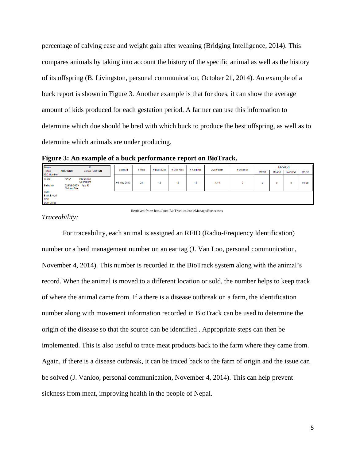percentage of calving ease and weight gain after weaning (Bridging Intelligence, 2014). This compares animals by taking into account the history of the specific animal as well as the history of its offspring (B. Livingston, personal communication, October 21, 2014). An example of a buck report is shown in Figure 3. Another example is that for does, it can show the average amount of kids produced for each gestation period. A farmer can use this information to determine which doe should be bred with which buck to produce the best offspring, as well as to determine which animals are under producing.

**Figure 3: An example of a buck performance report on BioTrack.**

| Name<br>ID                  |                                           | <b>Last Kid</b>           | # Prog      | # Buck Kids | # Doe Kids | # Kiddings | Avg # Born | # Weaned | <b>PROGENY</b> |             |       |               |             |
|-----------------------------|-------------------------------------------|---------------------------|-------------|-------------|------------|------------|------------|----------|----------------|-------------|-------|---------------|-------------|
| Tattoo<br><b>EID Number</b> | XBIO12NC                                  | Eartag BIO 12N            |             |             |            |            |            |          |                | <b>MBWT</b> | MA50d | <b>MA100d</b> | <b>MADG</b> |
|                             |                                           |                           |             |             |            |            |            |          |                |             |       |               |             |
| <b>Breed</b>                | 32BZ                                      | Inbreeding<br>Coefficient | 03 May 2013 | 28          | 12         | 16         | 16         | 1.14     | 0              | 0           |       | υ             | 0.000       |
| <b>Birthdate</b>            | 02 Feb 2003 Age 12<br><b>Natural Sire</b> |                           |             |             |            |            |            |          |                |             |       |               |             |
| <b>Buck</b>                 |                                           |                           |             |             |            |            |            |          |                |             |       |               |             |
| <b>Buck Breed</b>           |                                           |                           |             |             |            |            |            |          |                |             |       |               |             |
| Dam                         |                                           |                           |             |             |            |            |            |          |                |             |       |               |             |
| Dam Breed                   |                                           |                           |             |             |            |            |            |          |                |             |       |               |             |

Retrieved from: http://goat.BioTrack.ca/cattleManage/Bucks.aspx

*Traceability:*

For traceability, each animal is assigned an RFID (Radio-Frequency Identification) number or a herd management number on an ear tag (J. Van Loo, personal communication, November 4, 2014). This number is recorded in the BioTrack system along with the animal's record. When the animal is moved to a different location or sold, the number helps to keep track of where the animal came from. If a there is a disease outbreak on a farm, the identification number along with movement information recorded in BioTrack can be used to determine the origin of the disease so that the source can be identified . Appropriate steps can then be implemented. This is also useful to trace meat products back to the farm where they came from. Again, if there is a disease outbreak, it can be traced back to the farm of origin and the issue can be solved (J. Vanloo, personal communication, November 4, 2014). This can help prevent sickness from meat, improving health in the people of Nepal.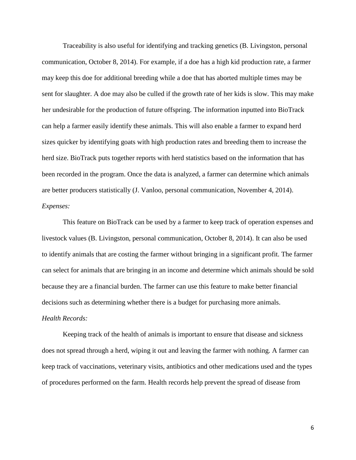Traceability is also useful for identifying and tracking genetics (B. Livingston, personal communication, October 8, 2014). For example, if a doe has a high kid production rate, a farmer may keep this doe for additional breeding while a doe that has aborted multiple times may be sent for slaughter. A doe may also be culled if the growth rate of her kids is slow. This may make her undesirable for the production of future offspring. The information inputted into BioTrack can help a farmer easily identify these animals. This will also enable a farmer to expand herd sizes quicker by identifying goats with high production rates and breeding them to increase the herd size. BioTrack puts together reports with herd statistics based on the information that has been recorded in the program. Once the data is analyzed, a farmer can determine which animals are better producers statistically (J. Vanloo, personal communication, November 4, 2014). *Expenses:*

This feature on BioTrack can be used by a farmer to keep track of operation expenses and livestock values (B. Livingston, personal communication, October 8, 2014). It can also be used to identify animals that are costing the farmer without bringing in a significant profit. The farmer can select for animals that are bringing in an income and determine which animals should be sold because they are a financial burden. The farmer can use this feature to make better financial decisions such as determining whether there is a budget for purchasing more animals. *Health Records:*

Keeping track of the health of animals is important to ensure that disease and sickness does not spread through a herd, wiping it out and leaving the farmer with nothing. A farmer can keep track of vaccinations, veterinary visits, antibiotics and other medications used and the types of procedures performed on the farm. Health records help prevent the spread of disease from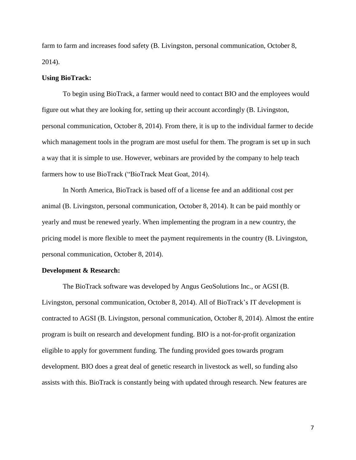farm to farm and increases food safety (B. Livingston, personal communication, October 8, 2014).

#### **Using BioTrack:**

To begin using BioTrack, a farmer would need to contact BIO and the employees would figure out what they are looking for, setting up their account accordingly (B. Livingston, personal communication, October 8, 2014). From there, it is up to the individual farmer to decide which management tools in the program are most useful for them. The program is set up in such a way that it is simple to use. However, webinars are provided by the company to help teach farmers how to use BioTrack ("BioTrack Meat Goat, 2014).

In North America, BioTrack is based off of a license fee and an additional cost per animal (B. Livingston, personal communication, October 8, 2014). It can be paid monthly or yearly and must be renewed yearly. When implementing the program in a new country, the pricing model is more flexible to meet the payment requirements in the country (B. Livingston, personal communication, October 8, 2014).

#### **Development & Research:**

The BioTrack software was developed by Angus GeoSolutions Inc., or AGSI (B. Livingston, personal communication, October 8, 2014). All of BioTrack's IT development is contracted to AGSI (B. Livingston, personal communication, October 8, 2014). Almost the entire program is built on research and development funding. BIO is a not-for-profit organization eligible to apply for government funding. The funding provided goes towards program development. BIO does a great deal of genetic research in livestock as well, so funding also assists with this. BioTrack is constantly being with updated through research. New features are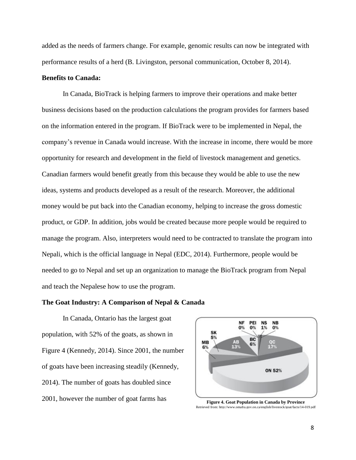added as the needs of farmers change. For example, genomic results can now be integrated with performance results of a herd (B. Livingston, personal communication, October 8, 2014).

## **Benefits to Canada:**

In Canada, BioTrack is helping farmers to improve their operations and make better business decisions based on the production calculations the program provides for farmers based on the information entered in the program. If BioTrack were to be implemented in Nepal, the company's revenue in Canada would increase. With the increase in income, there would be more opportunity for research and development in the field of livestock management and genetics. Canadian farmers would benefit greatly from this because they would be able to use the new ideas, systems and products developed as a result of the research. Moreover, the additional money would be put back into the Canadian economy, helping to increase the gross domestic product, or GDP. In addition, jobs would be created because more people would be required to manage the program. Also, interpreters would need to be contracted to translate the program into Nepali, which is the official language in Nepal (EDC, 2014). Furthermore, people would be needed to go to Nepal and set up an organization to manage the BioTrack program from Nepal and teach the Nepalese how to use the program.

## **The Goat Industry: A Comparison of Nepal & Canada**

In Canada, Ontario has the largest goat population, with 52% of the goats, as shown in Figure 4 (Kennedy, 2014). Since 2001, the number of goats have been increasing steadily (Kennedy, 2014). The number of goats has doubled since 2001, however the number of goat farms has **Figure 4. Goat Population in Canada by Province** 



Retrieved from: http://www.omafra.gov.on.ca/english/livestock/goat/facts/14-019.pdf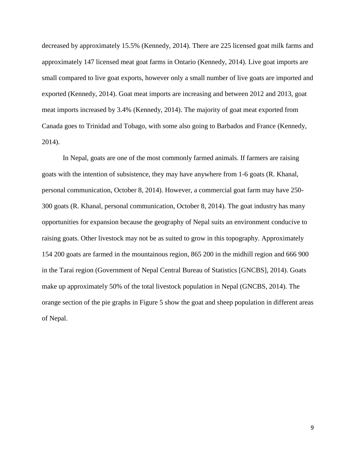decreased by approximately 15.5% (Kennedy, 2014). There are 225 licensed goat milk farms and approximately 147 licensed meat goat farms in Ontario (Kennedy, 2014). Live goat imports are small compared to live goat exports, however only a small number of live goats are imported and exported (Kennedy, 2014). Goat meat imports are increasing and between 2012 and 2013, goat meat imports increased by 3.4% (Kennedy, 2014). The majority of goat meat exported from Canada goes to Trinidad and Tobago, with some also going to Barbados and France (Kennedy, 2014).

In Nepal, goats are one of the most commonly farmed animals. If farmers are raising goats with the intention of subsistence, they may have anywhere from 1-6 goats (R. Khanal, personal communication, October 8, 2014). However, a commercial goat farm may have 250- 300 goats (R. Khanal, personal communication, October 8, 2014). The goat industry has many opportunities for expansion because the geography of Nepal suits an environment conducive to raising goats. Other livestock may not be as suited to grow in this topography. Approximately 154 200 goats are farmed in the mountainous region, 865 200 in the midhill region and 666 900 in the Tarai region (Government of Nepal Central Bureau of Statistics [GNCBS], 2014). Goats make up approximately 50% of the total livestock population in Nepal (GNCBS, 2014). The orange section of the pie graphs in Figure 5 show the goat and sheep population in different areas of Nepal.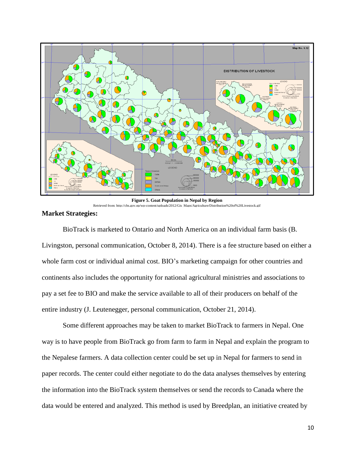

**Figure 5. Goat Population in Nepal by Region** Retrieved from: http://cbs.gov.np/wp-content/uploads/2012/Gis\_Maps/Agriculture/Distribution%20of%20Livestock.gif

#### **Market Strategies:**

BioTrack is marketed to Ontario and North America on an individual farm basis (B. Livingston, personal communication, October 8, 2014). There is a fee structure based on either a whole farm cost or individual animal cost. BIO's marketing campaign for other countries and continents also includes the opportunity for national agricultural ministries and associations to pay a set fee to BIO and make the service available to all of their producers on behalf of the entire industry (J. Leutenegger, personal communication, October 21, 2014).

Some different approaches may be taken to market BioTrack to farmers in Nepal. One way is to have people from BioTrack go from farm to farm in Nepal and explain the program to the Nepalese farmers. A data collection center could be set up in Nepal for farmers to send in paper records. The center could either negotiate to do the data analyses themselves by entering the information into the BioTrack system themselves or send the records to Canada where the data would be entered and analyzed. This method is used by Breedplan, an initiative created by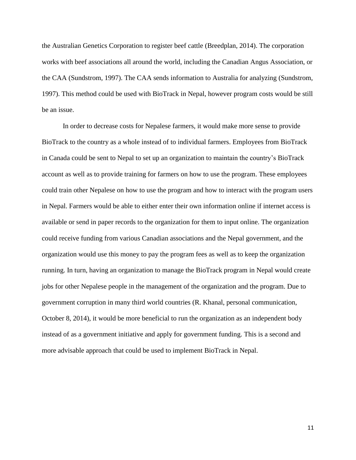the Australian Genetics Corporation to register beef cattle (Breedplan, 2014). The corporation works with beef associations all around the world, including the Canadian Angus Association, or the CAA (Sundstrom, 1997). The CAA sends information to Australia for analyzing (Sundstrom, 1997). This method could be used with BioTrack in Nepal, however program costs would be still be an issue.

In order to decrease costs for Nepalese farmers, it would make more sense to provide BioTrack to the country as a whole instead of to individual farmers. Employees from BioTrack in Canada could be sent to Nepal to set up an organization to maintain the country's BioTrack account as well as to provide training for farmers on how to use the program. These employees could train other Nepalese on how to use the program and how to interact with the program users in Nepal. Farmers would be able to either enter their own information online if internet access is available or send in paper records to the organization for them to input online. The organization could receive funding from various Canadian associations and the Nepal government, and the organization would use this money to pay the program fees as well as to keep the organization running. In turn, having an organization to manage the BioTrack program in Nepal would create jobs for other Nepalese people in the management of the organization and the program. Due to government corruption in many third world countries (R. Khanal, personal communication, October 8, 2014), it would be more beneficial to run the organization as an independent body instead of as a government initiative and apply for government funding. This is a second and more advisable approach that could be used to implement BioTrack in Nepal.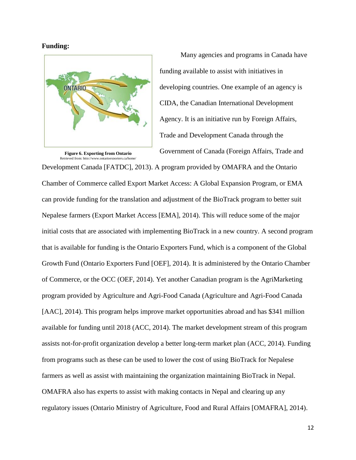#### **Funding:**



**Figure 6. Exporting from Ontario** Retrieved from: http://www.ontarioexporters.ca/home/

Many agencies and programs in Canada have funding available to assist with initiatives in developing countries. One example of an agency is CIDA, the Canadian International Development Agency. It is an initiative run by Foreign Affairs, Trade and Development Canada through the Government of Canada (Foreign Affairs, Trade and

Development Canada [FATDC], 2013). A program provided by OMAFRA and the Ontario Chamber of Commerce called Export Market Access: A Global Expansion Program, or EMA can provide funding for the translation and adjustment of the BioTrack program to better suit Nepalese farmers (Export Market Access [EMA], 2014). This will reduce some of the major initial costs that are associated with implementing BioTrack in a new country. A second program that is available for funding is the Ontario Exporters Fund, which is a component of the Global Growth Fund (Ontario Exporters Fund [OEF], 2014). It is administered by the Ontario Chamber of Commerce, or the OCC (OEF, 2014). Yet another Canadian program is the AgriMarketing program provided by Agriculture and Agri-Food Canada (Agriculture and Agri-Food Canada [AAC], 2014). This program helps improve market opportunities abroad and has \$341 million available for funding until 2018 (ACC, 2014). The market development stream of this program assists not-for-profit organization develop a better long-term market plan (ACC, 2014). Funding from programs such as these can be used to lower the cost of using BioTrack for Nepalese farmers as well as assist with maintaining the organization maintaining BioTrack in Nepal. OMAFRA also has experts to assist with making contacts in Nepal and clearing up any regulatory issues (Ontario Ministry of Agriculture, Food and Rural Affairs [OMAFRA], 2014).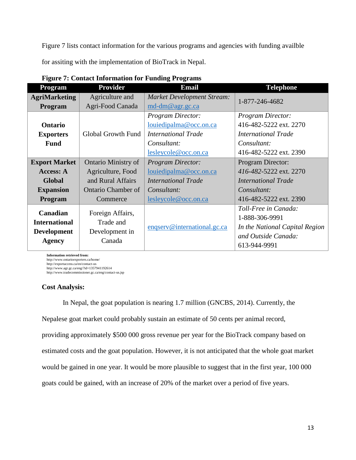Figure 7 lists contact information for the various programs and agencies with funding availble

for assiting with the implementation of BioTrack in Nepal.

| Program                                                                           | <b>Provider</b>                                                                                               | <b>Email</b>                                                                                                            | <b>Telephone</b>                                                                                                          |
|-----------------------------------------------------------------------------------|---------------------------------------------------------------------------------------------------------------|-------------------------------------------------------------------------------------------------------------------------|---------------------------------------------------------------------------------------------------------------------------|
| <b>AgriMarketing</b><br>Program                                                   | Agriculture and<br>Agri-Food Canada                                                                           | <b>Market Development Stream:</b><br>$md-dm@agr.gc.ca$                                                                  | 1-877-246-4682                                                                                                            |
| Ontario<br><b>Exporters</b><br><b>Fund</b>                                        | <b>Global Growth Fund</b>                                                                                     | <b>Program Director:</b><br>louiedipalma@occ.on.ca<br><b>International Trade</b><br>Consultant:<br>lesleycole@occ.on.ca | <b>Program Director:</b><br>416-482-5222 ext. 2270<br><b>International Trade</b><br>Consultant:<br>416-482-5222 ext. 2390 |
| <b>Export Market</b><br>Access: A<br><b>Global</b><br><b>Expansion</b><br>Program | <b>Ontario Ministry of</b><br>Agriculture, Food<br>and Rural Affairs<br><b>Ontario Chamber of</b><br>Commerce | <b>Program Director:</b><br>louiedipalma@occ.on.ca<br><b>International Trade</b><br>Consultant:<br>lesleycole@occ.on.ca | Program Director:<br>416-482-5222 ext. 2270<br><b>International Trade</b><br>Consultant:<br>416-482-5222 ext. 2390        |
| Canadian<br><b>International</b><br><b>Development</b><br>Agency                  | Foreign Affairs,<br>Trade and<br>Development in<br>Canada                                                     | enqserv@international.gc.ca                                                                                             | Toll-Free in Canada:<br>1-888-306-9991<br>In the National Capital Region<br>and Outside Canada:<br>613-944-9991           |

**Figure 7: Contact Information for Funding Programs** 

**Information retrieved from:**  http://www.ontarioexporters.ca/home/ http://exportaccess.ca/en/contact-us http://www.agr.gc.ca/eng/?id=1357941192614 http://www.tradecommissioner.gc.ca/eng/contact-us.jsp

# **Cost Analysis:**

In Nepal, the goat population is nearing 1.7 million (GNCBS, 2014). Currently, the Nepalese goat market could probably sustain an estimate of 50 cents per animal record, providing approximately \$500 000 gross revenue per year for the BioTrack company based on estimated costs and the goat population. However, it is not anticipated that the whole goat market would be gained in one year. It would be more plausible to suggest that in the first year, 100 000 goats could be gained, with an increase of 20% of the market over a period of five years.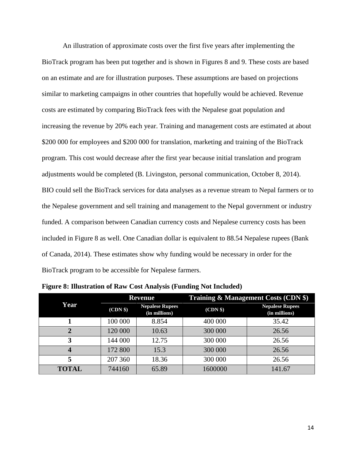An illustration of approximate costs over the first five years after implementing the BioTrack program has been put together and is shown in Figures 8 and 9. These costs are based on an estimate and are for illustration purposes. These assumptions are based on projections similar to marketing campaigns in other countries that hopefully would be achieved. Revenue costs are estimated by comparing BioTrack fees with the Nepalese goat population and increasing the revenue by 20% each year. Training and management costs are estimated at about \$200 000 for employees and \$200 000 for translation, marketing and training of the BioTrack program. This cost would decrease after the first year because initial translation and program adjustments would be completed (B. Livingston, personal communication, October 8, 2014). BIO could sell the BioTrack services for data analyses as a revenue stream to Nepal farmers or to the Nepalese government and sell training and management to the Nepal government or industry funded. A comparison between Canadian currency costs and Nepalese currency costs has been included in Figure 8 as well. One Canadian dollar is equivalent to 88.54 Nepalese rupees (Bank of Canada, 2014). These estimates show why funding would be necessary in order for the BioTrack program to be accessible for Nepalese farmers.

|              |          | <b>Revenue</b>                          | <b>Training &amp; Management Costs (CDN \$)</b> |                                         |  |  |  |
|--------------|----------|-----------------------------------------|-------------------------------------------------|-----------------------------------------|--|--|--|
| Year         | (CDN \$) | <b>Nepalese Rupees</b><br>(in millions) | (CDN \$)                                        | <b>Nepalese Rupees</b><br>(in millions) |  |  |  |
|              | 100 000  | 8.854                                   | 400 000                                         | 35.42                                   |  |  |  |
| 2            | 120 000  | 10.63                                   | 300 000                                         | 26.56                                   |  |  |  |
| 3            | 144 000  | 12.75                                   | 300 000                                         | 26.56                                   |  |  |  |
| 4            | 172 800  | 15.3                                    | 300 000                                         | 26.56                                   |  |  |  |
| 5            | 207 360  | 18.36                                   | 300 000                                         | 26.56                                   |  |  |  |
| <b>TOTAL</b> | 744160   | 65.89                                   | 1600000                                         | 141.67                                  |  |  |  |

**Figure 8: Illustration of Raw Cost Analysis (Funding Not Included)**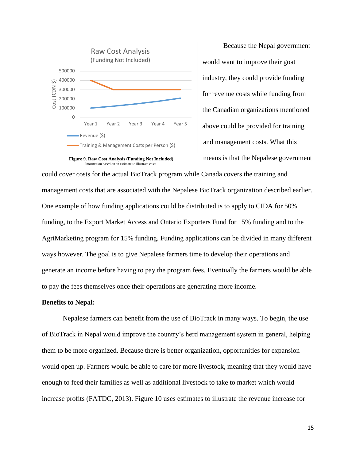



Because the Nepal government would want to improve their goat industry, they could provide funding for revenue costs while funding from the Canadian organizations mentioned above could be provided for training and management costs. What this means is that the Nepalese government

could cover costs for the actual BioTrack program while Canada covers the training and management costs that are associated with the Nepalese BioTrack organization described earlier. One example of how funding applications could be distributed is to apply to CIDA for 50% funding, to the Export Market Access and Ontario Exporters Fund for 15% funding and to the AgriMarketing program for 15% funding. Funding applications can be divided in many different ways however. The goal is to give Nepalese farmers time to develop their operations and generate an income before having to pay the program fees. Eventually the farmers would be able to pay the fees themselves once their operations are generating more income.

## **Benefits to Nepal:**

Nepalese farmers can benefit from the use of BioTrack in many ways. To begin, the use of BioTrack in Nepal would improve the country's herd management system in general, helping them to be more organized. Because there is better organization, opportunities for expansion would open up. Farmers would be able to care for more livestock, meaning that they would have enough to feed their families as well as additional livestock to take to market which would increase profits (FATDC, 2013). Figure 10 uses estimates to illustrate the revenue increase for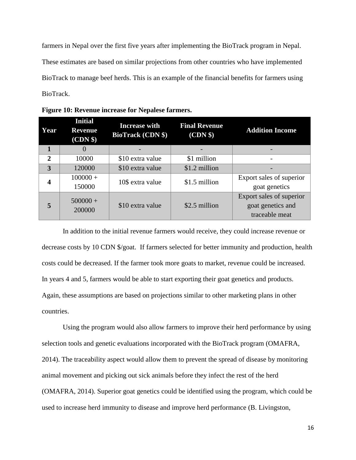farmers in Nepal over the first five years after implementing the BioTrack program in Nepal. These estimates are based on similar projections from other countries who have implemented BioTrack to manage beef herds. This is an example of the financial benefits for farmers using BioTrack.

| Year           | <b>Initial</b><br><b>Revenue</b><br>(CDN \$) | <b>Increase with</b><br><b>BioTrack (CDN \$)</b> | <b>Final Revenue</b><br>(CDN \$) | <b>Addition Income</b>   |  |  |
|----------------|----------------------------------------------|--------------------------------------------------|----------------------------------|--------------------------|--|--|
| 1              | $\Omega$                                     |                                                  |                                  |                          |  |  |
| $\overline{2}$ | 10000                                        | \$10 extra value                                 | \$1 million                      |                          |  |  |
| 3              | 120000                                       | \$10 extra value                                 | \$1.2 million                    |                          |  |  |
| 4              | $100000 +$                                   | 10\$ extra value                                 | \$1.5 million                    | Export sales of superior |  |  |
|                | 150000                                       |                                                  |                                  | goat genetics            |  |  |
|                | $500000+$                                    |                                                  |                                  | Export sales of superior |  |  |
| 5              | 200000                                       | \$10 extra value                                 | \$2.5 million                    | goat genetics and        |  |  |
|                |                                              |                                                  |                                  | traceable meat           |  |  |

**Figure 10: Revenue increase for Nepalese farmers.**

In addition to the initial revenue farmers would receive, they could increase revenue or decrease costs by 10 CDN \$/goat. If farmers selected for better immunity and production, health costs could be decreased. If the farmer took more goats to market, revenue could be increased. In years 4 and 5, farmers would be able to start exporting their goat genetics and products. Again, these assumptions are based on projections similar to other marketing plans in other countries.

Using the program would also allow farmers to improve their herd performance by using selection tools and genetic evaluations incorporated with the BioTrack program (OMAFRA, 2014). The traceability aspect would allow them to prevent the spread of disease by monitoring animal movement and picking out sick animals before they infect the rest of the herd (OMAFRA, 2014). Superior goat genetics could be identified using the program, which could be used to increase herd immunity to disease and improve herd performance (B. Livingston,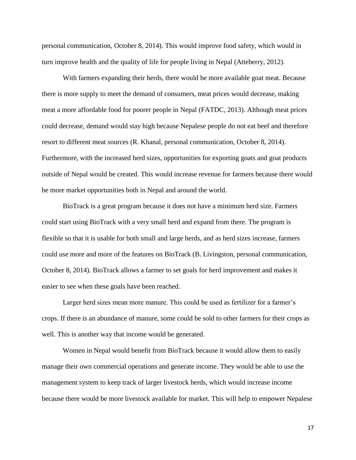personal communication, October 8, 2014). This would improve food safety, which would in turn improve health and the quality of life for people living in Nepal (Atteberry, 2012).

With farmers expanding their herds, there would be more available goat meat. Because there is more supply to meet the demand of consumers, meat prices would decrease, making meat a more affordable food for poorer people in Nepal (FATDC, 2013). Although meat prices could decrease, demand would stay high because Nepalese people do not eat beef and therefore resort to different meat sources (R. Khanal, personal communication, October 8, 2014). Furthermore, with the increased herd sizes, opportunities for exporting goats and goat products outside of Nepal would be created. This would increase revenue for farmers because there would be more market opportunities both in Nepal and around the world.

BioTrack is a great program because it does not have a minimum herd size. Farmers could start using BioTrack with a very small herd and expand from there. The program is flexible so that it is usable for both small and large herds, and as herd sizes increase, farmers could use more and more of the features on BioTrack (B. Livingston, personal communication, October 8, 2014). BioTrack allows a farmer to set goals for herd improvement and makes it easier to see when these goals have been reached.

Larger herd sizes mean more manure. This could be used as fertilizer for a farmer's crops. If there is an abundance of manure, some could be sold to other farmers for their crops as well. This is another way that income would be generated.

Women in Nepal would benefit from BioTrack because it would allow them to easily manage their own commercial operations and generate income. They would be able to use the management system to keep track of larger livestock herds, which would increase income because there would be more livestock available for market. This will help to empower Nepalese

17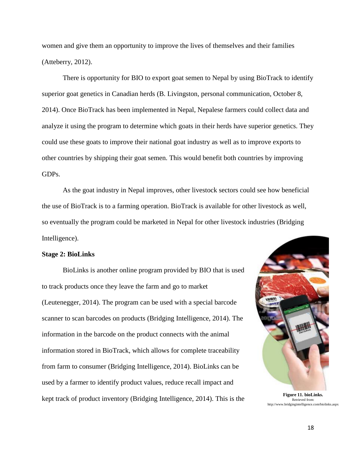women and give them an opportunity to improve the lives of themselves and their families (Atteberry, 2012).

There is opportunity for BIO to export goat semen to Nepal by using BioTrack to identify superior goat genetics in Canadian herds (B. Livingston, personal communication, October 8, 2014). Once BioTrack has been implemented in Nepal, Nepalese farmers could collect data and analyze it using the program to determine which goats in their herds have superior genetics. They could use these goats to improve their national goat industry as well as to improve exports to other countries by shipping their goat semen. This would benefit both countries by improving GDPs.

As the goat industry in Nepal improves, other livestock sectors could see how beneficial the use of BioTrack is to a farming operation. BioTrack is available for other livestock as well, so eventually the program could be marketed in Nepal for other livestock industries (Bridging Intelligence).

#### **Stage 2: BioLinks**

BioLinks is another online program provided by BIO that is used to track products once they leave the farm and go to market (Leutenegger, 2014). The program can be used with a special barcode scanner to scan barcodes on products (Bridging Intelligence, 2014). The information in the barcode on the product connects with the animal information stored in BioTrack, which allows for complete traceability from farm to consumer (Bridging Intelligence, 2014). BioLinks can be used by a farmer to identify product values, reduce recall impact and kept track of product inventory (Bridging Intelligence, 2014). This is the **Figure 11. bioLinks.** 



Retrieved from: http://www.bridgingintelligence.com/biolinks.aspx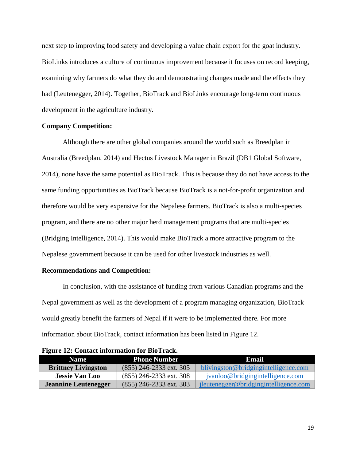next step to improving food safety and developing a value chain export for the goat industry. BioLinks introduces a culture of continuous improvement because it focuses on record keeping, examining why farmers do what they do and demonstrating changes made and the effects they had (Leutenegger, 2014). Together, BioTrack and BioLinks encourage long-term continuous development in the agriculture industry.

## **Company Competition:**

Although there are other global companies around the world such as Breedplan in Australia (Breedplan, 2014) and Hectus Livestock Manager in Brazil (DB1 Global Software, 2014), none have the same potential as BioTrack. This is because they do not have access to the same funding opportunities as BioTrack because BioTrack is a not-for-profit organization and therefore would be very expensive for the Nepalese farmers. BioTrack is also a multi-species program, and there are no other major herd management programs that are multi-species (Bridging Intelligence, 2014). This would make BioTrack a more attractive program to the Nepalese government because it can be used for other livestock industries as well.

#### **Recommendations and Competition:**

In conclusion, with the assistance of funding from various Canadian programs and the Nepal government as well as the development of a program managing organization, BioTrack would greatly benefit the farmers of Nepal if it were to be implemented there. For more information about BioTrack, contact information has been listed in Figure 12.

| <b>Name</b>                | <b>Phone Number</b>       | Email                                 |
|----------------------------|---------------------------|---------------------------------------|
| <b>Brittney Livingston</b> | $(855)$ 246-2333 ext. 305 | blivingston@bridgingintelligence.com  |
| <b>Jessie Van Loo</b>      | $(855)$ 246-2333 ext. 308 | jvanloo@bridgingintelligence.com      |
| Jeannine Leutenegger       | $(855)$ 246-2333 ext. 303 | jleutenegger@bridgingintelligence.com |

**Figure 12: Contact information for BioTrack.**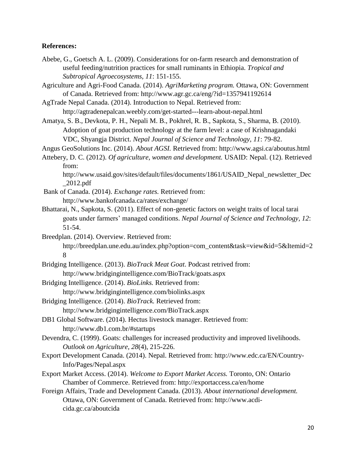## **References:**

- Abebe, G., Goetsch A. L. (2009). Considerations for on-farm research and demonstration of useful feeding/nutrition practices for small ruminants in Ethiopia. *Tropical and Subtropical Agroecosystems, 11*: 151-155.
- Agriculture and Agri-Food Canada. (2014). *AgriMarketing program.* Ottawa, ON: Government of Canada. Retrieved from: http://www.agr.gc.ca/eng/?id=1357941192614
- AgTrade Nepal Canada. (2014). Introduction to Nepal. Retrieved from: http://agtradenepalcan.weebly.com/get-started---learn-about-nepal.html
- Amatya, S. B., Devkota, P. H., Nepali M. B., Pokhrel, R. B., Sapkota, S., Sharma, B. (2010). Adoption of goat production technology at the farm level: a case of Krishnagandaki VDC, Shyangja District. *Nepal Journal of Science and Technology, 11*: 79-82.

Angus GeoSolutions Inc. (2014). *About AGSI.* Retrieved from: http://www.agsi.ca/aboutus.html

Attebery, D. C. (2012). *Of agriculture, women and development.* USAID: Nepal. (12). Retrieved from:

http://www.usaid.gov/sites/default/files/documents/1861/USAID\_Nepal\_newsletter\_Dec  $\angle$ 2012.pdf

- Bank of Canada. (2014). *Exchange rates.* Retrieved from: http://www.bankofcanada.ca/rates/exchange/
- Bhattarai, N., Sapkota, S. (2011). Effect of non-genetic factors on weight traits of local tarai goats under farmers' managed conditions. *Nepal Journal of Science and Technology, 12*: 51-54.

Breedplan. (2014). Overview. Retrieved from:

http://breedplan.une.edu.au/index.php?option=com\_content&task=view&id=5&Itemid=2 8

- Bridging Intelligence. (2013). *BioTrack Meat Goat*. Podcast retrived from: http://www.bridgingintelligence.com/BioTrack/goats.aspx
- Bridging Intelligence. (2014). *BioLinks.* Retrieved from:

http://www.bridgingintelligence.com/biolinks.aspx

- Bridging Intelligence. (2014). *BioTrack.* Retrieved from: http://www.bridgingintelligence.com/BioTrack.aspx
- DB1 Global Software. (2014). Hectus livestock manager. Retrieved from: http://www.db1.com.br/#startups
- Devendra, C. (1999). Goats: challenges for increased productivity and improved livelihoods. *Outlook on Agriculture, 28*(4), 215-226.
- Export Development Canada. (2014). Nepal. Retrieved from: http://www.edc.ca/EN/Country-Info/Pages/Nepal.aspx
- Export Market Access. (2014). *Welcome to Export Market Access.* Toronto, ON: Ontario Chamber of Commerce. Retrieved from: http://exportaccess.ca/en/home
- Foreign Affairs, Trade and Development Canada. (2013). *About international development.* Ottawa, ON: Government of Canada. Retrieved from: http://www.acdicida.gc.ca/aboutcida